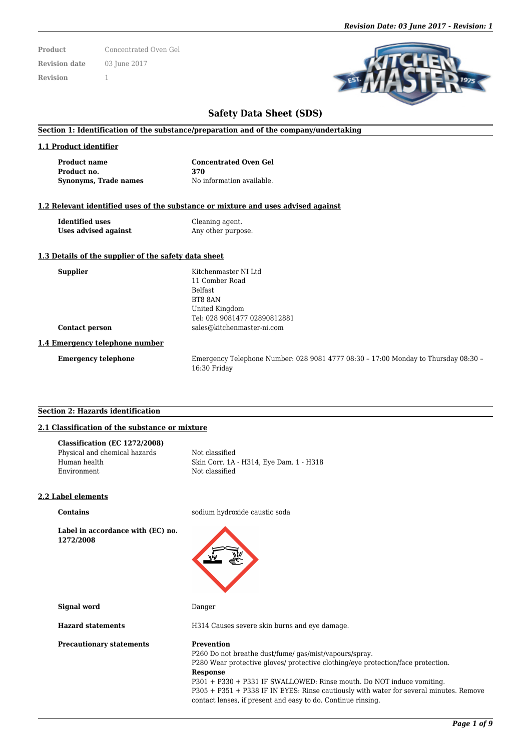**Product** Concentrated Oven Gel **Revision date** 03 June 2017 **Revision** 1

# **Safety Data Sheet (SDS)**

### **Section 1: Identification of the substance/preparation and of the company/undertaking**

#### **1.1 Product identifier**

**Product no. 370 Synonyms, Trade names** No information available.

**Product name Concentrated Oven Gel**

#### **1.2 Relevant identified uses of the substance or mixture and uses advised against**

**Identified uses** Cleaning agent. **Uses advised against** Any other purpose.

#### **1.3 Details of the supplier of the safety data sheet**

| <b>Supplier</b>                | Kitchenmaster NI Ltd                                                               |
|--------------------------------|------------------------------------------------------------------------------------|
|                                | 11 Comber Road                                                                     |
|                                | <b>Belfast</b>                                                                     |
|                                | BT8 8AN                                                                            |
|                                | United Kingdom                                                                     |
|                                | Tel: 028 9081477 02890812881                                                       |
| <b>Contact person</b>          | sales@kitchenmaster-ni.com                                                         |
| 1.4 Emergency telephone number |                                                                                    |
| <b>Emergency telephone</b>     | Emergency Telephone Number: 028 9081 4777 08:30 - 17:00 Monday to Thursday 08:30 - |

16:30 Friday

#### **Section 2: Hazards identification**

## **2.1 Classification of the substance or mixture**

| Classification (EC 1272/2008) |                                         |
|-------------------------------|-----------------------------------------|
| Physical and chemical hazards | Not classified                          |
| Human health                  | Skin Corr. 1A - H314, Eye Dam. 1 - H318 |
| Environment                   | Not classified                          |
|                               |                                         |

#### **2.2 Label elements**

**Label in accordance with (EC) no. 1272/2008**

**Contains** sodium hydroxide caustic soda



**Signal word** Danger

**Precautionary statements Prevention** 

**Hazard statements** H314 Causes severe skin burns and eye damage.

P260 Do not breathe dust/fume/ gas/mist/vapours/spray.

P280 Wear protective gloves/ protective clothing/eye protection/face protection. **Response**

P301 + P330 + P331 IF SWALLOWED: Rinse mouth. Do NOT induce vomiting. P305 + P351 + P338 IF IN EYES: Rinse cautiously with water for several minutes. Remove contact lenses, if present and easy to do. Continue rinsing.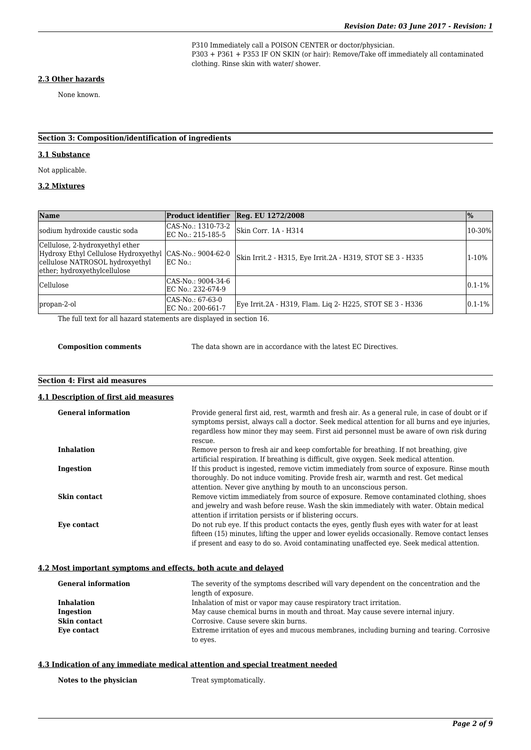P310 Immediately call a POISON CENTER or doctor/physician. P303 + P361 + P353 IF ON SKIN (or hair): Remove/Take off immediately all contaminated clothing. Rinse skin with water/ shower.

#### **2.3 Other hazards**

None known.

### **Section 3: Composition/identification of ingredients**

# **3.1 Substance**

Not applicable.

### **3.2 Mixtures**

| <b>Name</b>                                                                                                                                | <b>Product identifier</b>               | Reg. EU 1272/2008                                          | $\frac{9}{0}$ |
|--------------------------------------------------------------------------------------------------------------------------------------------|-----------------------------------------|------------------------------------------------------------|---------------|
| sodium hydroxide caustic soda                                                                                                              | CAS-No.: 1310-73-2<br>EC No.: 215-185-5 | Skin Corr. 1A - H314                                       | 10-30%        |
| Cellulose, 2-hydroxyethyl ether<br>Hydroxy Ethyl Cellulose Hydroxyethyl<br>cellulose NATROSOL hydroxyethyl<br>ether; hydroxyethylcellulose | CAS-No.: 9004-62-0<br>EC No.:           | Skin Irrit.2 - H315, Eye Irrit.2A - H319, STOT SE 3 - H335 | 1-10%         |
| <b>Cellulose</b>                                                                                                                           | CAS-No.: 9004-34-6<br>EC No.: 232-674-9 |                                                            | $0.1 - 1\%$   |
| propan-2-ol                                                                                                                                | CAS-No.: 67-63-0<br>EC No.: 200-661-7   | Eye Irrit.2A - H319, Flam. Lig 2- H225, STOT SE 3 - H336   | $0.1 - 1\%$   |

The full text for all hazard statements are displayed in section 16.

**Composition comments** The data shown are in accordance with the latest EC Directives.

# **Section 4: First aid measures**

#### **4.1 Description of first aid measures**

| <b>General information</b> | Provide general first aid, rest, warmth and fresh air. As a general rule, in case of doubt or if<br>symptoms persist, always call a doctor. Seek medical attention for all burns and eye injuries,<br>regardless how minor they may seem. First aid personnel must be aware of own risk during<br>rescue. |
|----------------------------|-----------------------------------------------------------------------------------------------------------------------------------------------------------------------------------------------------------------------------------------------------------------------------------------------------------|
| <b>Inhalation</b>          | Remove person to fresh air and keep comfortable for breathing. If not breathing, give<br>artificial respiration. If breathing is difficult, give oxygen. Seek medical attention.                                                                                                                          |
| Ingestion                  | If this product is ingested, remove victim immediately from source of exposure. Rinse mouth<br>thoroughly. Do not induce vomiting. Provide fresh air, warmth and rest. Get medical<br>attention. Never give anything by mouth to an unconscious person.                                                   |
| Skin contact               | Remove victim immediately from source of exposure. Remove contaminated clothing, shoes<br>and jewelry and wash before reuse. Wash the skin immediately with water. Obtain medical<br>attention if irritation persists or if blistering occurs.                                                            |
| Eve contact                | Do not rub eye. If this product contacts the eyes, gently flush eyes with water for at least<br>fifteen (15) minutes, lifting the upper and lower evelids occasionally. Remove contact lenses<br>if present and easy to do so. Avoid contaminating unaffected eye. Seek medical attention.                |

### **4.2 Most important symptoms and effects, both acute and delayed**

| <b>General information</b> | The severity of the symptoms described will vary dependent on the concentration and the   |  |
|----------------------------|-------------------------------------------------------------------------------------------|--|
|                            | length of exposure.                                                                       |  |
| <b>Inhalation</b>          | Inhalation of mist or vapor may cause respiratory tract irritation.                       |  |
| Ingestion                  | May cause chemical burns in mouth and throat. May cause severe internal injury.           |  |
| Skin contact               | Corrosive. Cause severe skin burns.                                                       |  |
| Eye contact                | Extreme irritation of eyes and mucous membranes, including burning and tearing. Corrosive |  |
|                            | to eyes.                                                                                  |  |

#### **4.3 Indication of any immediate medical attention and special treatment needed**

Notes to the physician Treat symptomatically.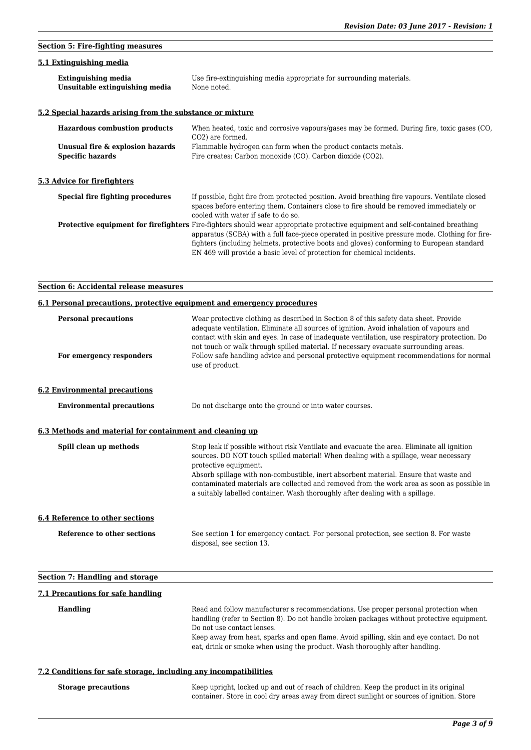# **Section 5: Fire-fighting measures**

### **5.1 Extinguishing media**

| <b>Extinguishing media</b>     | Use fire-extinguishing media appropriate for surrounding materials. |
|--------------------------------|---------------------------------------------------------------------|
| Unsuitable extinguishing media | None noted.                                                         |

### **5.2 Special hazards arising from the substance or mixture**

| <b>Hazardous combustion products</b> |                                                             | When heated, toxic and corrosive vapours/gases may be formed. During fire, toxic gases (CO,<br>CO <sub>2</sub> ) are formed.                                                                                                                                                                                                                                                                                   |
|--------------------------------------|-------------------------------------------------------------|----------------------------------------------------------------------------------------------------------------------------------------------------------------------------------------------------------------------------------------------------------------------------------------------------------------------------------------------------------------------------------------------------------------|
|                                      | Unusual fire & explosion hazards<br><b>Specific hazards</b> | Flammable hydrogen can form when the product contacts metals.<br>Fire creates: Carbon monoxide (CO). Carbon dioxide (CO2).                                                                                                                                                                                                                                                                                     |
|                                      | 5.3 Advice for firefighters                                 |                                                                                                                                                                                                                                                                                                                                                                                                                |
|                                      | Special fire fighting procedures                            | If possible, fight fire from protected position. Avoid breathing fire vapours. Ventilate closed<br>spaces before entering them. Containers close to fire should be removed immediately or<br>cooled with water if safe to do so.                                                                                                                                                                               |
|                                      |                                                             | <b>Protective equipment for firefighters</b> Fire-fighters should wear appropriate protective equipment and self-contained breathing<br>apparatus (SCBA) with a full face-piece operated in positive pressure mode. Clothing for fire-<br>fighters (including helmets, protective boots and gloves) conforming to European standard<br>EN 469 will provide a basic level of protection for chemical incidents. |

### **Section 6: Accidental release measures**

### **6.1 Personal precautions, protective equipment and emergency procedures**

| <b>Personal precautions</b><br>For emergency responders  | Wear protective clothing as described in Section 8 of this safety data sheet. Provide<br>adequate ventilation. Eliminate all sources of ignition. Avoid inhalation of vapours and<br>contact with skin and eyes. In case of inadequate ventilation, use respiratory protection. Do<br>not touch or walk through spilled material. If necessary evacuate surrounding areas.<br>Follow safe handling advice and personal protective equipment recommendations for normal<br>use of product. |
|----------------------------------------------------------|-------------------------------------------------------------------------------------------------------------------------------------------------------------------------------------------------------------------------------------------------------------------------------------------------------------------------------------------------------------------------------------------------------------------------------------------------------------------------------------------|
| <b>6.2 Environmental precautions</b>                     |                                                                                                                                                                                                                                                                                                                                                                                                                                                                                           |
| <b>Environmental precautions</b>                         | Do not discharge onto the ground or into water courses.                                                                                                                                                                                                                                                                                                                                                                                                                                   |
| 6.3 Methods and material for containment and cleaning up |                                                                                                                                                                                                                                                                                                                                                                                                                                                                                           |
| Spill clean up methods                                   | Stop leak if possible without risk Ventilate and evacuate the area. Eliminate all ignition<br>sources. DO NOT touch spilled material! When dealing with a spillage, wear necessary<br>protective equipment.<br>Absorb spillage with non-combustible, inert absorbent material. Ensure that waste and<br>contaminated materials are collected and removed from the work area as soon as possible in<br>a suitably labelled container. Wash thoroughly after dealing with a spillage.       |
| <b>6.4 Reference to other sections</b>                   |                                                                                                                                                                                                                                                                                                                                                                                                                                                                                           |
| Reference to other sections                              | See section 1 for emergency contact. For personal protection, see section 8. For waste<br>disposal, see section 13.                                                                                                                                                                                                                                                                                                                                                                       |
| <b>Section 7: Handling and storage</b>                   |                                                                                                                                                                                                                                                                                                                                                                                                                                                                                           |
| 7.1 Precautions for safe handling                        |                                                                                                                                                                                                                                                                                                                                                                                                                                                                                           |
| <b>Handling</b>                                          | Read and follow manufacturer's recommendations. Use proper personal protection when<br>handling (refer to Section 8). Do not handle broken packages without protective equipment.<br>Do not use contact lenses.                                                                                                                                                                                                                                                                           |

Keep away from heat, sparks and open flame. Avoid spilling, skin and eye contact. Do not eat, drink or smoke when using the product. Wash thoroughly after handling.

## **7.2 Conditions for safe storage, including any incompatibilities**

| <b>Storage precautions</b> | Keep upright, locked up and out of reach of children. Keep the product in its original     |
|----------------------------|--------------------------------------------------------------------------------------------|
|                            | container. Store in cool dry areas away from direct sunlight or sources of ignition. Store |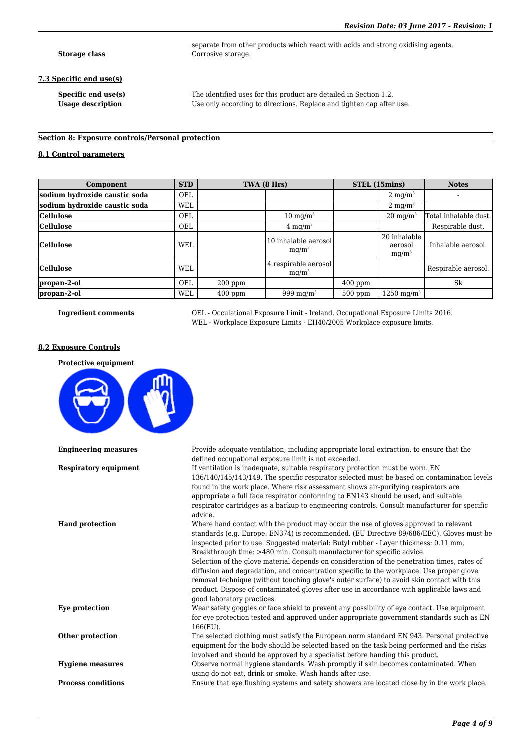**Storage class** Corrosive storage.

#### **7.3 Specific end use(s)**

**Specific end use(s)** The identified uses for this product are detailed in Section 1.2. Usage description **Use only according to directions.** Replace and tighten cap after use.

separate from other products which react with acids and strong oxidising agents.

#### **Section 8: Exposure controls/Personal protection**

#### **8.1 Control parameters**

| Component                     | <b>STD</b> |           | TWA (8 Hrs)                      |           | STEL (15mins)                       | <b>Notes</b>          |
|-------------------------------|------------|-----------|----------------------------------|-----------|-------------------------------------|-----------------------|
| sodium hydroxide caustic soda | OEL        |           |                                  |           | $2 \text{ mg/m}^3$                  |                       |
| sodium hydroxide caustic soda | <b>WEL</b> |           |                                  |           | $2 \text{ mg/m}^3$                  |                       |
| <b>Cellulose</b>              | OEL        |           | $10 \text{ mg/m}^3$              |           | $20 \text{ mg/m}^3$                 | Total inhalable dust. |
| <b>Cellulose</b>              | <b>OEL</b> |           | $4 \text{ mg/m}^3$               |           |                                     | Respirable dust.      |
| <b>Cellulose</b>              | <b>WEL</b> |           | 10 inhalable aerosol<br>$mq/m^3$ |           | 20 inhalable<br>aerosol<br>$mq/m^3$ | Inhalable aerosol.    |
| <b>Cellulose</b>              | <b>WEL</b> |           | 4 respirable aerosol<br>$mq/m^3$ |           |                                     | Respirable aerosol.   |
| propan-2-ol                   | OEL        | $200$ ppm |                                  | $400$ ppm |                                     | Sk                    |
| propan-2-ol                   | <b>WEL</b> | $400$ ppm | 999 mg/m <sup>3</sup>            | $500$ ppm | $1250 \; \text{mg/m}^3$             |                       |

**Ingredient comments** OEL - Occulational Exposure Limit - Ireland, Occupational Exposure Limits 2016. WEL - Workplace Exposure Limits - EH40/2005 Workplace exposure limits.

#### **8.2 Exposure Controls**

#### **Protective equipment**

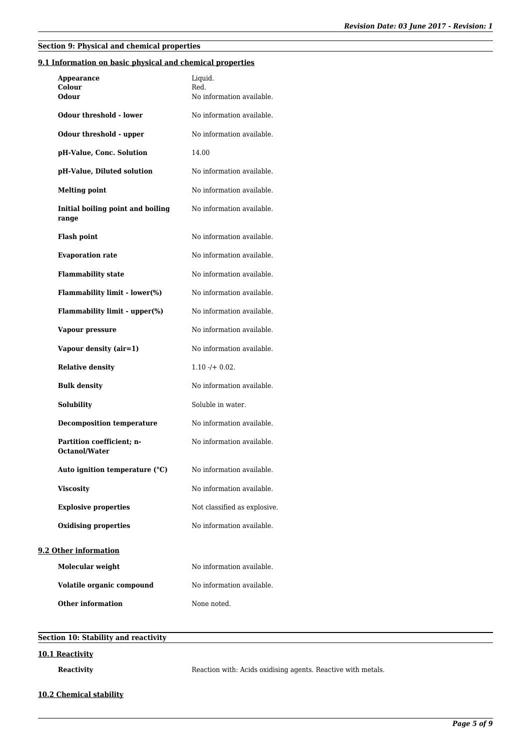# **Section 9: Physical and chemical properties**

### **9.1 Information on basic physical and chemical properties**

| Appearance<br>Colour<br>Odour                     | Liquid.<br>Red.<br>No information available. |
|---------------------------------------------------|----------------------------------------------|
| Odour threshold - lower                           | No information available.                    |
| Odour threshold - upper                           | No information available.                    |
| pH-Value, Conc. Solution                          | 14.00                                        |
| pH-Value, Diluted solution                        | No information available.                    |
| <b>Melting point</b>                              | No information available.                    |
| Initial boiling point and boiling<br>range        | No information available.                    |
| <b>Flash point</b>                                | No information available.                    |
| <b>Evaporation rate</b>                           | No information available.                    |
| <b>Flammability state</b>                         | No information available.                    |
| Flammability limit - lower(%)                     | No information available.                    |
| Flammability limit - upper(%)                     | No information available.                    |
| Vapour pressure                                   | No information available.                    |
| Vapour density (air=1)                            | No information available.                    |
| <b>Relative density</b>                           | $1.10 - (+ 0.02)$                            |
| <b>Bulk density</b>                               | No information available.                    |
| <b>Solubility</b>                                 | Soluble in water.                            |
| <b>Decomposition temperature</b>                  | No information available.                    |
| Partition coefficient; n-<br><b>Octanol/Water</b> | No information available.                    |
| Auto ignition temperature (°C)                    | No information available.                    |
| <b>Viscosity</b>                                  | No information available.                    |
| <b>Explosive properties</b>                       | Not classified as explosive.                 |
| <b>Oxidising properties</b>                       | No information available.                    |
| 9.2 Other information                             |                                              |
| Molecular weight                                  | No information available.                    |
| Volatile organic compound                         | No information available.                    |
| <b>Other information</b>                          | None noted.                                  |

# **Section 10: Stability and reactivity**

# **10.1 Reactivity**

**Reactivity** Reaction with: Acids oxidising agents. Reactive with metals.

### **10.2 Chemical stability**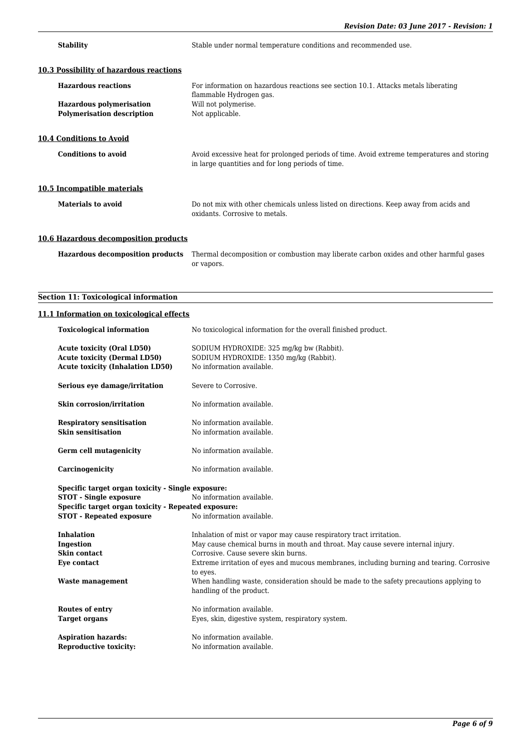**Stability** Stable under normal temperature conditions and recommended use.

| 10.3 Possibility of hazardous reactions |                                                                                                                                                 |
|-----------------------------------------|-------------------------------------------------------------------------------------------------------------------------------------------------|
| <b>Hazardous reactions</b>              | For information on hazardous reactions see section 10.1. Attacks metals liberating<br>flammable Hydrogen gas.                                   |
| <b>Hazardous polymerisation</b>         | Will not polymerise.                                                                                                                            |
| <b>Polymerisation description</b>       | Not applicable.                                                                                                                                 |
|                                         |                                                                                                                                                 |
| <b>10.4 Conditions to Avoid</b>         |                                                                                                                                                 |
| <b>Conditions to avoid</b>              | Avoid excessive heat for prolonged periods of time. Avoid extreme temperatures and storing<br>in large quantities and for long periods of time. |
| 10.5 Incompatible materials             |                                                                                                                                                 |
| Materials to avoid                      | Do not mix with other chemicals unless listed on directions. Keep away from acids and<br>oxidants. Corrosive to metals.                         |
| 10.6 Hazardous decomposition products   |                                                                                                                                                 |

**Hazardous decomposition products** Thermal decomposition or combustion may liberate carbon oxides and other harmful gases or vapors.

# **Section 11: Toxicological information**

# **11.1 Information on toxicological effects**

| <b>Toxicological information</b>                    | No toxicological information for the overall finished product.                                        |
|-----------------------------------------------------|-------------------------------------------------------------------------------------------------------|
| <b>Acute toxicity (Oral LD50)</b>                   | SODIUM HYDROXIDE: 325 mg/kg bw (Rabbit).                                                              |
| <b>Acute toxicity (Dermal LD50)</b>                 | SODIUM HYDROXIDE: 1350 mg/kg (Rabbit).                                                                |
| <b>Acute toxicity (Inhalation LD50)</b>             | No information available.                                                                             |
|                                                     |                                                                                                       |
| Serious eye damage/irritation                       | Severe to Corrosive.                                                                                  |
| <b>Skin corrosion/irritation</b>                    | No information available.                                                                             |
| <b>Respiratory sensitisation</b>                    | No information available.                                                                             |
| <b>Skin sensitisation</b>                           | No information available.                                                                             |
|                                                     |                                                                                                       |
| Germ cell mutagenicity                              | No information available.                                                                             |
|                                                     |                                                                                                       |
| Carcinogenicity                                     | No information available.                                                                             |
|                                                     |                                                                                                       |
| Specific target organ toxicity - Single exposure:   |                                                                                                       |
| <b>STOT - Single exposure</b>                       | No information available.                                                                             |
| Specific target organ toxicity - Repeated exposure: |                                                                                                       |
|                                                     |                                                                                                       |
| <b>STOT - Repeated exposure</b>                     | No information available.                                                                             |
|                                                     |                                                                                                       |
| <b>Inhalation</b>                                   | Inhalation of mist or vapor may cause respiratory tract irritation.                                   |
| Ingestion                                           | May cause chemical burns in mouth and throat. May cause severe internal injury.                       |
| Skin contact                                        | Corrosive. Cause severe skin burns.                                                                   |
| Eye contact                                         |                                                                                                       |
|                                                     | Extreme irritation of eyes and mucous membranes, including burning and tearing. Corrosive<br>to eyes. |
| <b>Waste management</b>                             | When handling waste, consideration should be made to the safety precautions applying to               |
|                                                     | handling of the product.                                                                              |
|                                                     |                                                                                                       |
| <b>Routes of entry</b>                              | No information available.                                                                             |
| <b>Target organs</b>                                | Eyes, skin, digestive system, respiratory system.                                                     |
|                                                     |                                                                                                       |
| <b>Aspiration hazards:</b>                          | No information available.                                                                             |
| <b>Reproductive toxicity:</b>                       | No information available.                                                                             |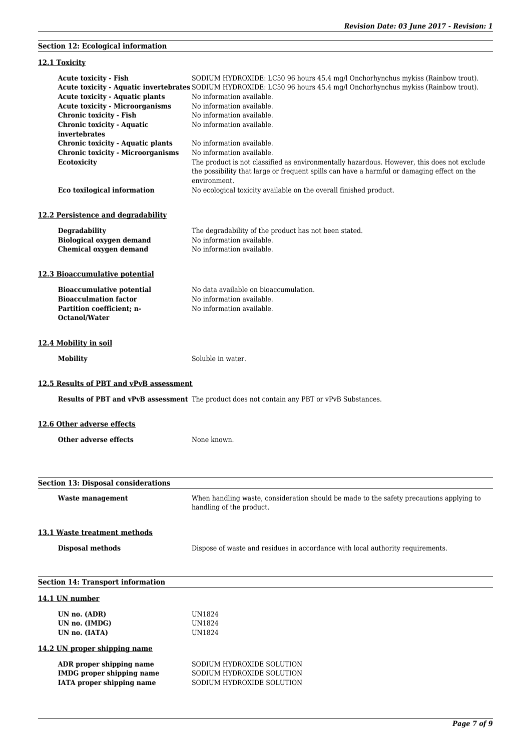# **Acute toxicity - Fish** SODIUM HYDROXIDE: LC50 96 hours 45.4 mg/l Onchorhynchus mykiss (Rainbow trout). **Acute toxicity - Aquatic invertebrates** SODIUM HYDROXIDE: LC50 96 hours 45.4 mg/l Onchorhynchus mykiss (Rainbow trout). Acute toxicity - Aquatic plants No information available. Acute toxicity - Microorganisms No information available. **Chronic toxicity - Fish** No information available. **Chronic toxicity - Aquatic invertebrates** No information available. **Chronic toxicity - Aquatic plants** No information available. **Chronic toxicity - Microorganisms** No information available. **Ecotoxicity** The product is not classified as environmentally hazardous. However, this does not exclude the possibility that large or frequent spills can have a harmful or damaging effect on the environment. **Eco toxilogical information** No ecological toxicity available on the overall finished product. **12.2 Persistence and degradability Degradability** The degradability of the product has not been stated. **Biological oxygen demand** No information available. **Chemical oxygen demand** No information available. **12.3 Bioaccumulative potential Bioaccumulative potential** No data available on bioaccumulation. **Bioacculmation factor** No information available. **Partition coefficient; n-Octanol/Water** No information available. **12.4 Mobility in soil Mobility** Soluble in water. **12.5 Results of PBT and vPvB assessment Results of PBT and vPvB assessment** The product does not contain any PBT or vPvB Substances. **12.6 Other adverse effects Other adverse effects** None known. **Section 13: Disposal considerations Waste management** When handling waste, consideration should be made to the safety precautions applying to handling of the product. **13.1 Waste treatment methods Disposal methods** Dispose of waste and residues in accordance with local authority requirements. **Section 14: Transport information 14.1 UN number UN no. (ADR)** UN1824 **UN no. (IMDG)** UN1824 **UN no. (IATA)** UN1824 **14.2 UN proper shipping name ADR proper shipping name** SODIUM HYDROXIDE SOLUTION **IMDG proper shipping name** SODIUM HYDROXIDE SOLUTION **IATA proper shipping name** SODIUM HYDROXIDE SOLUTION

**Section 12: Ecological information**

**12.1 Toxicity**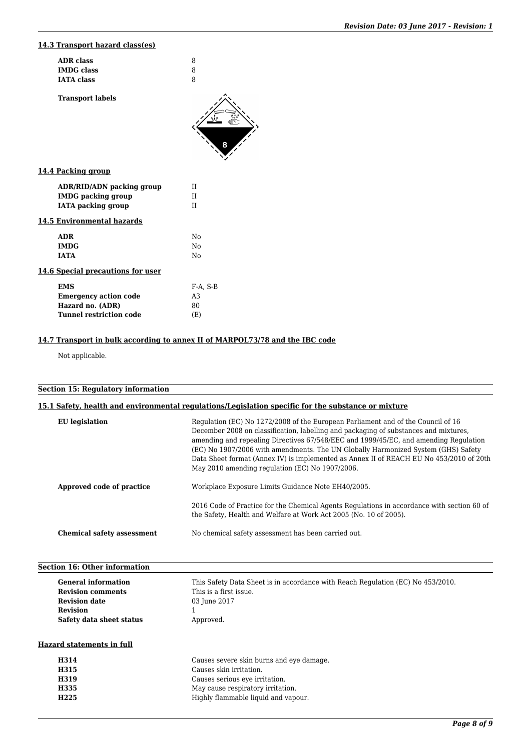# **14.3 Transport hazard class(es)**

| <b>ADR</b> class                  | 8              |
|-----------------------------------|----------------|
| <b>IMDG</b> class                 | 8              |
| <b>IATA</b> class                 | 8              |
| <b>Transport labels</b>           |                |
|                                   |                |
|                                   |                |
|                                   |                |
| 14.4 Packing group                |                |
| ADR/RID/ADN packing group         | П              |
| <b>IMDG</b> packing group         | II             |
| <b>IATA</b> packing group         | II             |
| 14.5 Environmental hazards        |                |
| <b>ADR</b>                        | No             |
| <b>IMDG</b>                       | No             |
| <b>IATA</b>                       | No             |
| 14.6 Special precautions for user |                |
| <b>EMS</b>                        | $F-A$ , $S-B$  |
| <b>Emergency action code</b>      | A <sub>3</sub> |
| Hazard no. (ADR)                  | 80             |
| <b>Tunnel restriction code</b>    | (E)            |
|                                   |                |

# **14.7 Transport in bulk according to annex II of MARPOL73/78 and the IBC code**

**H335** May cause respiratory irritation.<br> **H225** Highly flammable liquid and vap

Not applicable.

# **Section 15: Regulatory information**

|  |  |  | 15.1 Safety, health and environmental regulations/Legislation specific for the substance or mixture |  |
|--|--|--|-----------------------------------------------------------------------------------------------------|--|
|  |  |  |                                                                                                     |  |
|  |  |  |                                                                                                     |  |

| <b>EU</b> legislation             | Regulation (EC) No 1272/2008 of the European Parliament and of the Council of 16<br>December 2008 on classification, labelling and packaging of substances and mixtures,<br>amending and repealing Directives 67/548/EEC and 1999/45/EC, and amending Regulation<br>(EC) No 1907/2006 with amendments. The UN Globally Harmonized System (GHS) Safety<br>Data Sheet format (Annex IV) is implemented as Annex II of REACH EU No 453/2010 of 20th<br>May 2010 amending regulation (EC) No 1907/2006. |
|-----------------------------------|-----------------------------------------------------------------------------------------------------------------------------------------------------------------------------------------------------------------------------------------------------------------------------------------------------------------------------------------------------------------------------------------------------------------------------------------------------------------------------------------------------|
| Approved code of practice         | Workplace Exposure Limits Guidance Note EH40/2005.                                                                                                                                                                                                                                                                                                                                                                                                                                                  |
|                                   | 2016 Code of Practice for the Chemical Agents Regulations in accordance with section 60 of<br>the Safety, Health and Welfare at Work Act 2005 (No. 10 of 2005).                                                                                                                                                                                                                                                                                                                                     |
| <b>Chemical safety assessment</b> | No chemical safety assessment has been carried out.                                                                                                                                                                                                                                                                                                                                                                                                                                                 |

| <b>Section 16: Other information</b> |                                                                                 |  |  |
|--------------------------------------|---------------------------------------------------------------------------------|--|--|
| <b>General information</b>           | This Safety Data Sheet is in accordance with Reach Regulation (EC) No 453/2010. |  |  |
| <b>Revision comments</b>             | This is a first issue.                                                          |  |  |
| <b>Revision date</b>                 | 03 June 2017                                                                    |  |  |
| <b>Revision</b>                      |                                                                                 |  |  |
| Safety data sheet status             | Approved.                                                                       |  |  |
| <b>Hazard statements in full</b>     |                                                                                 |  |  |
| H314                                 | Causes severe skin burns and eye damage.                                        |  |  |
| <b>H315</b>                          | Causes skin irritation.                                                         |  |  |
| H319                                 | Causes serious eye irritation.                                                  |  |  |

Highly flammable liquid and vapour.